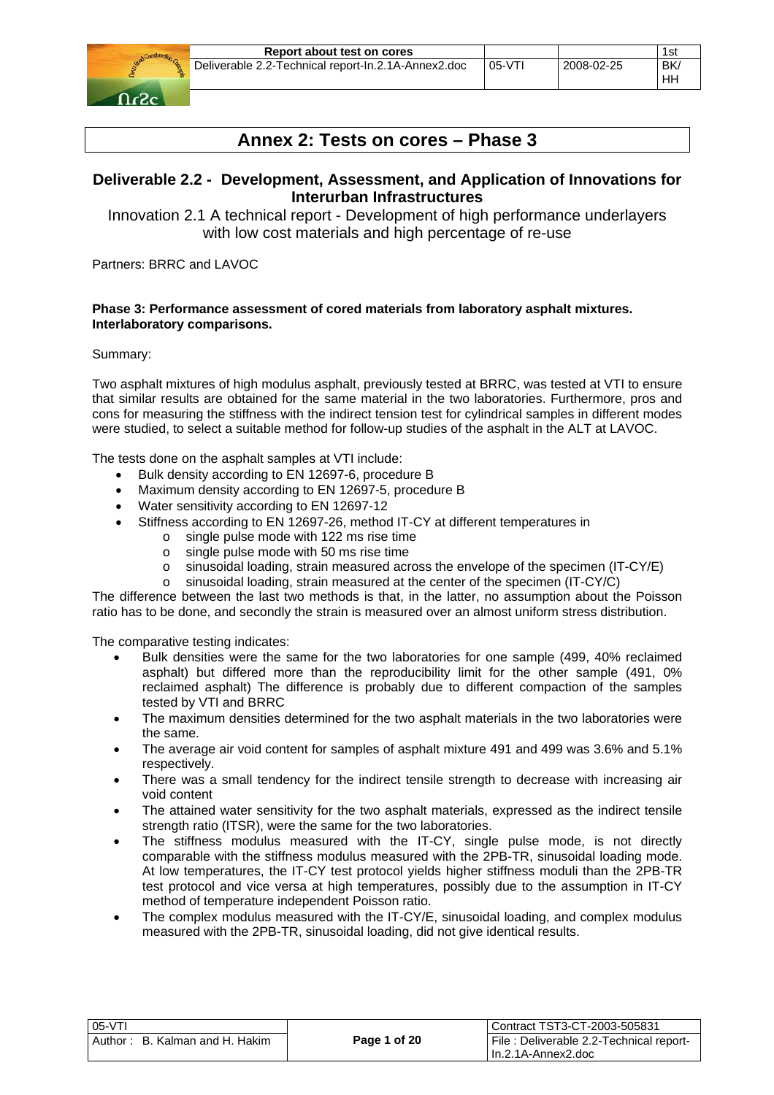

# **Annex 2: Tests on cores – Phase 3**

# **Deliverable 2.2 - Development, Assessment, and Application of Innovations for Interurban Infrastructures**

Innovation 2.1 A technical report - Development of high performance underlayers with low cost materials and high percentage of re-use

Partners: BRRC and LAVOC

# **Phase 3: Performance assessment of cored materials from laboratory asphalt mixtures. Interlaboratory comparisons.**

Summary:

Two asphalt mixtures of high modulus asphalt, previously tested at BRRC, was tested at VTI to ensure that similar results are obtained for the same material in the two laboratories. Furthermore, pros and cons for measuring the stiffness with the indirect tension test for cylindrical samples in different modes were studied, to select a suitable method for follow-up studies of the asphalt in the ALT at LAVOC.

The tests done on the asphalt samples at VTI include:

- Bulk density according to EN 12697-6, procedure B
- Maximum density according to EN 12697-5, procedure B
- Water sensitivity according to EN 12697-12
	- Stiffness according to EN 12697-26, method IT-CY at different temperatures in
		- o single pulse mode with 122 ms rise time
			- o single pulse mode with 50 ms rise time
			- $\circ$  sinusoidal loading, strain measured across the envelope of the specimen (IT-CY/E)
			- o sinusoidal loading, strain measured at the center of the specimen (IT-CY/C)

The difference between the last two methods is that, in the latter, no assumption about the Poisson ratio has to be done, and secondly the strain is measured over an almost uniform stress distribution.

The comparative testing indicates:

- Bulk densities were the same for the two laboratories for one sample (499, 40% reclaimed asphalt) but differed more than the reproducibility limit for the other sample (491, 0% reclaimed asphalt) The difference is probably due to different compaction of the samples tested by VTI and BRRC
- The maximum densities determined for the two asphalt materials in the two laboratories were the same.
- The average air void content for samples of asphalt mixture 491 and 499 was 3.6% and 5.1% respectively.
- There was a small tendency for the indirect tensile strength to decrease with increasing air void content
- The attained water sensitivity for the two asphalt materials, expressed as the indirect tensile strength ratio (ITSR), were the same for the two laboratories.
- The stiffness modulus measured with the IT-CY, single pulse mode, is not directly comparable with the stiffness modulus measured with the 2PB-TR, sinusoidal loading mode. At low temperatures, the IT-CY test protocol yields higher stiffness moduli than the 2PB-TR test protocol and vice versa at high temperatures, possibly due to the assumption in IT-CY method of temperature independent Poisson ratio.
- The complex modulus measured with the IT-CY/E, sinusoidal loading, and complex modulus measured with the 2PB-TR, sinusoidal loading, did not give identical results.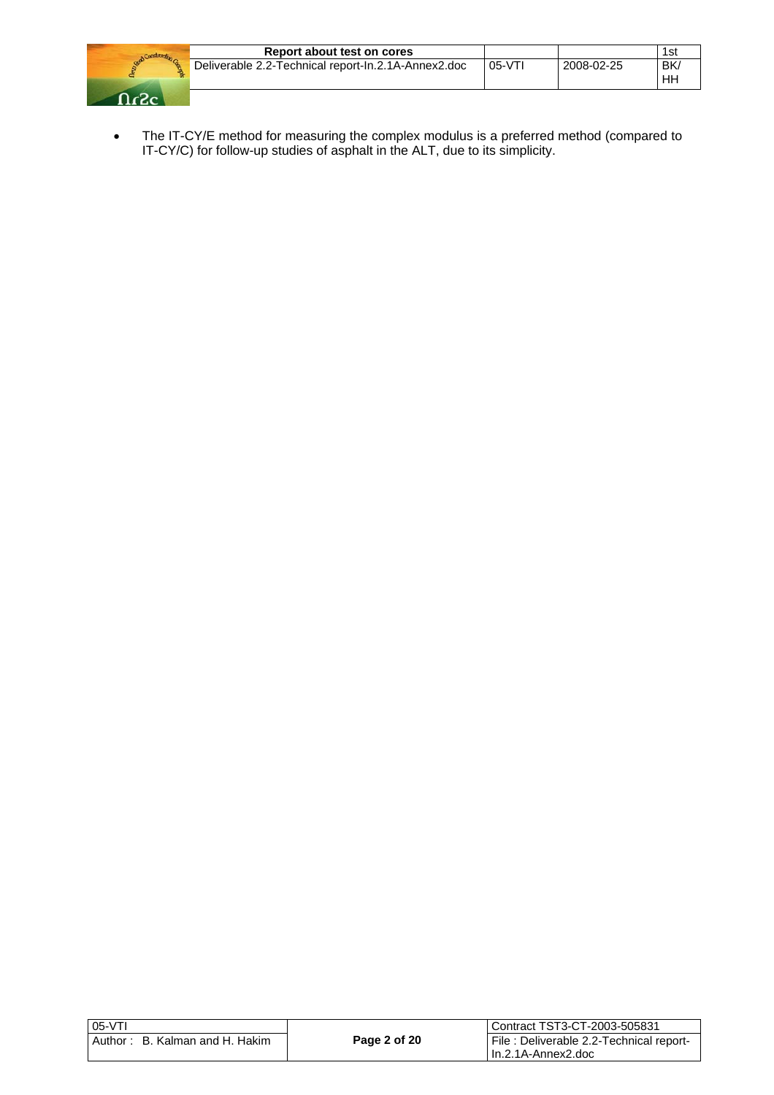

| Report about test on cores                          |          |            | 1st      |
|-----------------------------------------------------|----------|------------|----------|
| Deliverable 2.2-Technical report-In.2.1A-Annex2.doc | $05-VT1$ | 2008-02-25 | BK<br>HН |

• The IT-CY/E method for measuring the complex modulus is a preferred method (compared to IT-CY/C) for follow-up studies of asphalt in the ALT, due to its simplicity.

| 05-VTI                                          |              | l Contract TST3-CT-2003-505831                                 |
|-------------------------------------------------|--------------|----------------------------------------------------------------|
| $\therefore$ B. Kalman and H. Hakim<br>Author : | Page 2 of 20 | File : Deliverable 2.2-Technical report-<br>In.2.1A-Annex2.doc |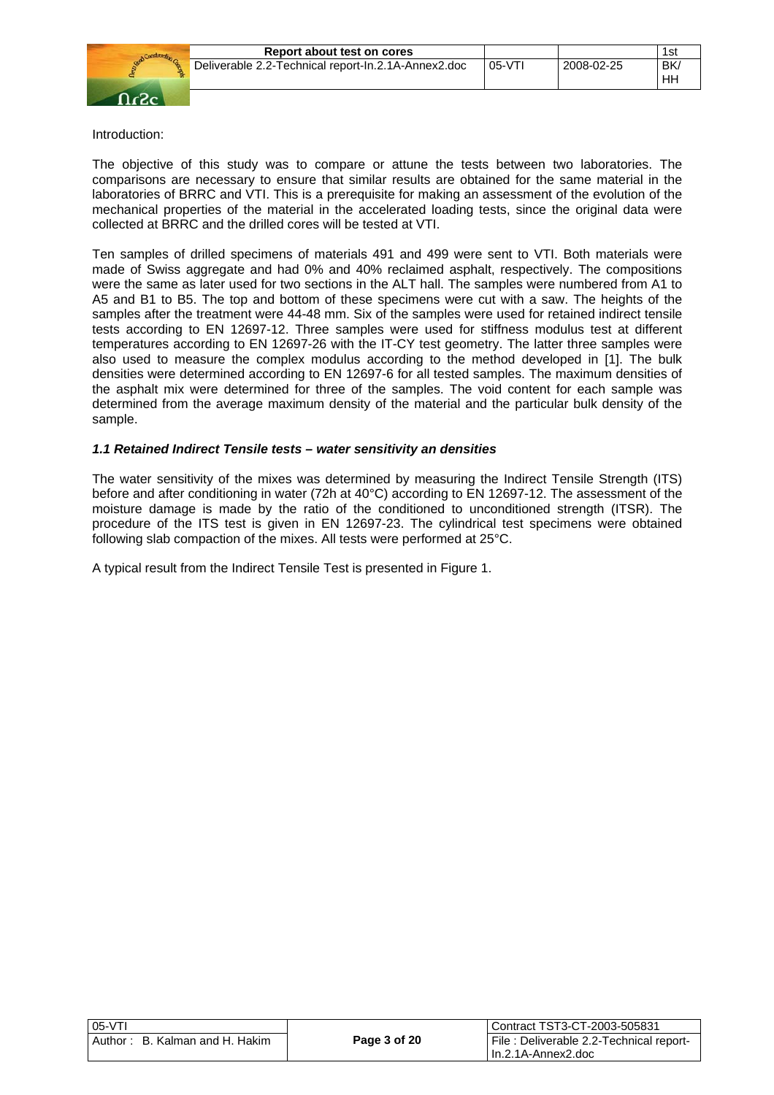

# Introduction:

The objective of this study was to compare or attune the tests between two laboratories. The comparisons are necessary to ensure that similar results are obtained for the same material in the laboratories of BRRC and VTI. This is a prerequisite for making an assessment of the evolution of the mechanical properties of the material in the accelerated loading tests, since the original data were collected at BRRC and the drilled cores will be tested at VTI.

Ten samples of drilled specimens of materials 491 and 499 were sent to VTI. Both materials were made of Swiss aggregate and had 0% and 40% reclaimed asphalt, respectively. The compositions were the same as later used for two sections in the ALT hall. The samples were numbered from A1 to A5 and B1 to B5. The top and bottom of these specimens were cut with a saw. The heights of the samples after the treatment were 44-48 mm. Six of the samples were used for retained indirect tensile tests according to EN 12697-12. Three samples were used for stiffness modulus test at different temperatures according to EN 12697-26 with the IT-CY test geometry. The latter three samples were also used to measure the complex modulus according to the method developed in [1]. The bulk densities were determined according to EN 12697-6 for all tested samples. The maximum densities of the asphalt mix were determined for three of the samples. The void content for each sample was determined from the average maximum density of the material and the particular bulk density of the sample.

#### *1.1 Retained Indirect Tensile tests – water sensitivity an densities*

The water sensitivity of the mixes was determined by measuring the Indirect Tensile Strength (ITS) before and after conditioning in water (72h at 40°C) according to EN 12697-12. The assessment of the moisture damage is made by the ratio of the conditioned to unconditioned strength (ITSR). The procedure of the ITS test is given in EN 12697-23. The cylindrical test specimens were obtained following slab compaction of the mixes. All tests were performed at 25°C.

A typical result from the Indirect Tensile Test is presented in Figure 1.

| 05-VTI                         |              | Contract TST3-CT-2003-505831            |
|--------------------------------|--------------|-----------------------------------------|
| Author: B. Kalman and H. Hakim | Page 3 of 20 | File: Deliverable 2.2-Technical report- |
|                                |              | l In.2.1A-Annex2.doc                    |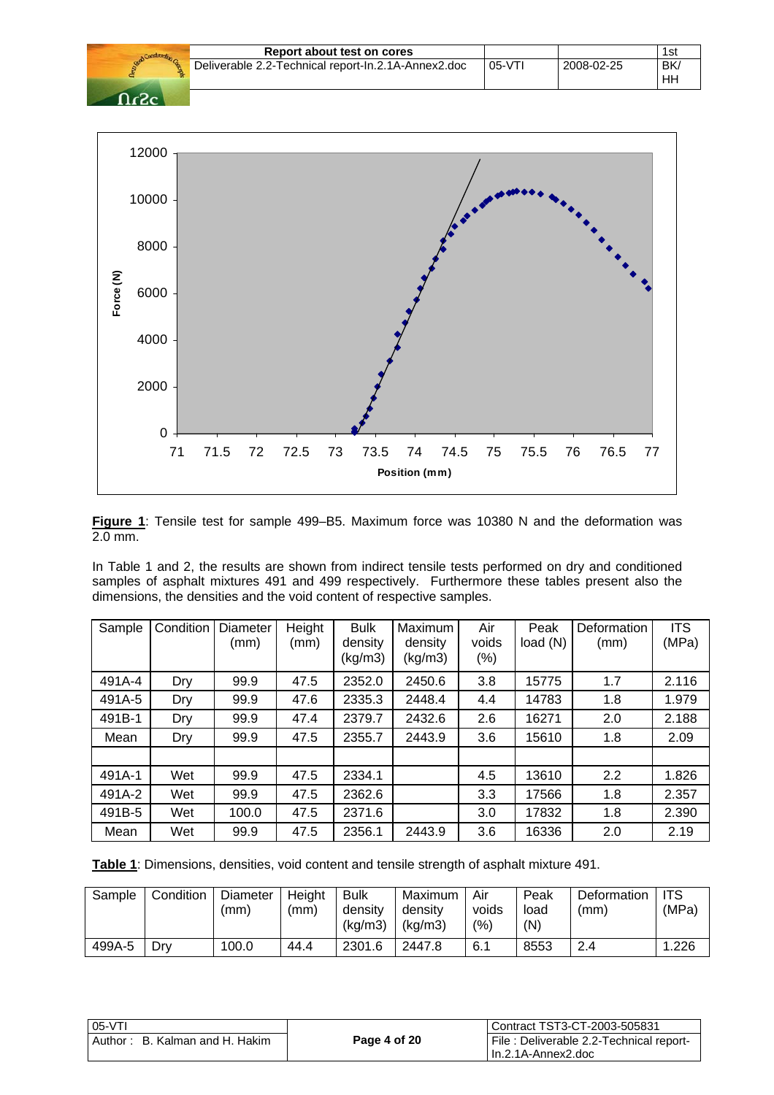|                  | Report about test on cores                          |          |            | 1st       |
|------------------|-----------------------------------------------------|----------|------------|-----------|
|                  | Deliverable 2.2-Technical report-In.2.1A-Annex2.doc | $05-VT1$ | 2008-02-25 | BK/<br>HH |
| $\Omega_{\rm A}$ |                                                     |          |            |           |



**Figure 1**: Tensile test for sample 499–B5. Maximum force was 10380 N and the deformation was  $\frac{2.0 \text{ mm}}{2.0 \text{ mm}}$ .

In Table 1 and 2, the results are shown from indirect tensile tests performed on dry and conditioned samples of asphalt mixtures 491 and 499 respectively. Furthermore these tables present also the dimensions, the densities and the void content of respective samples.

| Sample | Condition | Diameter<br>(mm) | Height<br>(mm) | <b>Bulk</b><br>density<br>(kg/m3) | Maximum<br>density<br>(kg/m3) | Air<br>voids<br>$(\%)$ | Peak<br>load(N) | Deformation<br>(mm) | <b>ITS</b><br>(MPa) |
|--------|-----------|------------------|----------------|-----------------------------------|-------------------------------|------------------------|-----------------|---------------------|---------------------|
| 491A-4 | Dry       | 99.9             | 47.5           | 2352.0                            | 2450.6                        | 3.8                    | 15775           | 1.7                 | 2.116               |
| 491A-5 | Dry       | 99.9             | 47.6           | 2335.3                            | 2448.4                        | 4.4                    | 14783           | 1.8                 | 1.979               |
| 491B-1 | Dry       | 99.9             | 47.4           | 2379.7                            | 2432.6                        | 2.6                    | 16271           | 2.0                 | 2.188               |
| Mean   | Dry       | 99.9             | 47.5           | 2355.7                            | 2443.9                        | 3.6                    | 15610           | 1.8                 | 2.09                |
|        |           |                  |                |                                   |                               |                        |                 |                     |                     |
| 491A-1 | Wet       | 99.9             | 47.5           | 2334.1                            |                               | 4.5                    | 13610           | 2.2                 | 1.826               |
| 491A-2 | Wet       | 99.9             | 47.5           | 2362.6                            |                               | 3.3                    | 17566           | 1.8                 | 2.357               |
| 491B-5 | Wet       | 100.0            | 47.5           | 2371.6                            |                               | 3.0                    | 17832           | 1.8                 | 2.390               |
| Mean   | Wet       | 99.9             | 47.5           | 2356.1                            | 2443.9                        | 3.6                    | 16336           | 2.0                 | 2.19                |

**Table 1**: Dimensions, densities, void content and tensile strength of asphalt mixture 491.

| Sample | Condition | Diameter<br>(mm) | Height<br>(mm) | <b>Bulk</b><br>density<br>(kq/m3) | Maximum<br>densitv<br>(kg/m3) | Air<br>voids<br>(%) | Peak<br>load<br>(N) | Deformation<br>(mm) | l ITS<br>(MPa) |
|--------|-----------|------------------|----------------|-----------------------------------|-------------------------------|---------------------|---------------------|---------------------|----------------|
| 499A-5 | Dry       | 100.0            | 44.4           | 2301.6                            | 2447.8                        | 6.1                 | 8553                | 2.4                 | 1.226          |

| 105-VTI                        |              | Contract TST3-CT-2003-505831            |
|--------------------------------|--------------|-----------------------------------------|
| Author: B. Kalman and H. Hakim | Page 4 of 20 | File: Deliverable 2.2-Technical report- |
|                                |              | I In.2.1A-Annex2.doc                    |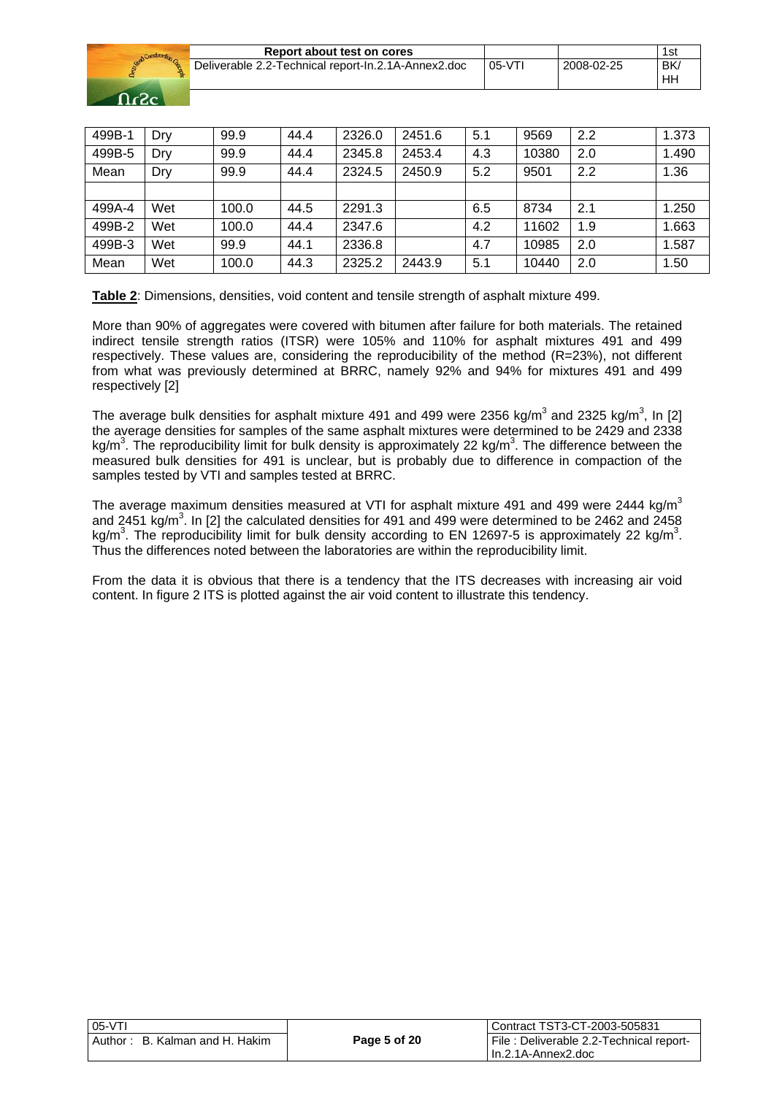|            | Constructs. |
|------------|-------------|
| <b>Don</b> |             |
| حی         |             |

| Report about test on cores                          |          |            | 1st |
|-----------------------------------------------------|----------|------------|-----|
| Deliverable 2.2-Technical report-In.2.1A-Annex2.doc | $05-VTI$ | 2008-02-25 | BK. |
|                                                     |          |            | ΗF  |

| 499B-1 | Dry | 99.9  | 44.4 | 2326.0 | 2451.6 | 5.1 | 9569  | 2.2 | 1.373 |
|--------|-----|-------|------|--------|--------|-----|-------|-----|-------|
| 499B-5 | Dry | 99.9  | 44.4 | 2345.8 | 2453.4 | 4.3 | 10380 | 2.0 | 1.490 |
| Mean   | Dry | 99.9  | 44.4 | 2324.5 | 2450.9 | 5.2 | 9501  | 2.2 | 1.36  |
|        |     |       |      |        |        |     |       |     |       |
| 499A-4 | Wet | 100.0 | 44.5 | 2291.3 |        | 6.5 | 8734  | 2.1 | 1.250 |
| 499B-2 | Wet | 100.0 | 44.4 | 2347.6 |        | 4.2 | 11602 | 1.9 | 1.663 |
| 499B-3 | Wet | 99.9  | 44.1 | 2336.8 |        | 4.7 | 10985 | 2.0 | 1.587 |
| Mean   | Wet | 100.0 | 44.3 | 2325.2 | 2443.9 | 5.1 | 10440 | 2.0 | 1.50  |

**Table 2**: Dimensions, densities, void content and tensile strength of asphalt mixture 499.

More than 90% of aggregates were covered with bitumen after failure for both materials. The retained indirect tensile strength ratios (ITSR) were 105% and 110% for asphalt mixtures 491 and 499 respectively. These values are, considering the reproducibility of the method (R=23%), not different from what was previously determined at BRRC, namely 92% and 94% for mixtures 491 and 499 respectively [2]

The average bulk densities for asphalt mixture 491 and 499 were 2356 kg/m<sup>3</sup> and 2325 kg/m<sup>3</sup>, In [2] the average densities for samples of the same asphalt mixtures were determined to be 2429 and 2338 kg/m<sup>3</sup>. The reproducibility limit for bulk density is approximately 22 kg/m<sup>3</sup>. The difference between the measured bulk densities for 491 is unclear, but is probably due to difference in compaction of the samples tested by VTI and samples tested at BRRC.

The average maximum densities measured at VTI for asphalt mixture 491 and 499 were 2444 kg/m<sup>3</sup> and 2451 kg/m<sup>3</sup>. In [2] the calculated densities for 491 and 499 were determined to be 2462 and 2458 kg/m<sup>3</sup>. The reproducibility limit for bulk density according to EN 12697-5 is approximately 22 kg/m<sup>3</sup>. Thus the differences noted between the laboratories are within the reproducibility limit.

From the data it is obvious that there is a tendency that the ITS decreases with increasing air void content. In figure 2 ITS is plotted against the air void content to illustrate this tendency.

| 05-VTI                         |              | Contract TST3-CT-2003-505831            |
|--------------------------------|--------------|-----------------------------------------|
| Author: B. Kalman and H. Hakim | Page 5 of 20 | File: Deliverable 2.2-Technical report- |
|                                |              | l In.2.1A-Annex2.doc                    |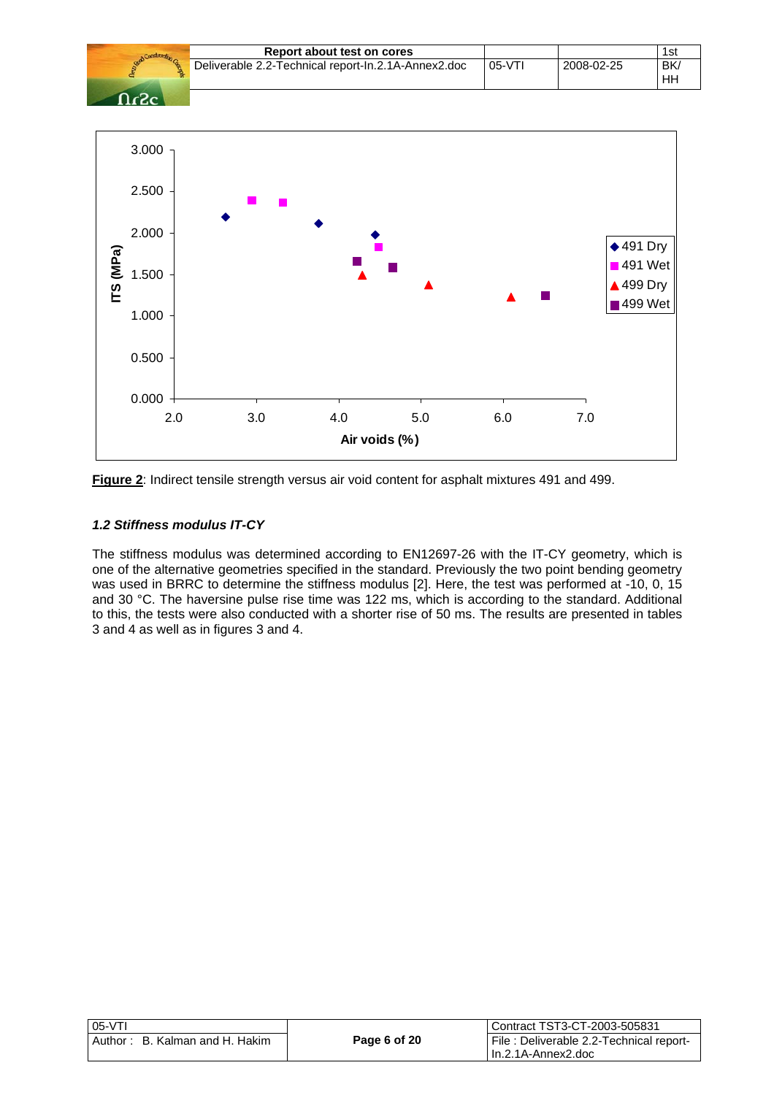



**Figure 2**: Indirect tensile strength versus air void content for asphalt mixtures 491 and 499.

#### *1.2 Stiffness modulus IT-CY*

0.000

0.500

The stiffness modulus was determined according to EN12697-26 with the IT-CY geometry, which is one of the alternative geometries specified in the standard. Previously the two point bending geometry was used in BRRC to determine the stiffness modulus [2]. Here, the test was performed at -10, 0, 15 and 30 °C. The haversine pulse rise time was 122 ms, which is according to the standard. Additional to this, the tests were also conducted with a shorter rise of 50 ms. The results are presented in tables 3 and 4 as well as in figures 3 and 4.

| $ 05-VT $                         |              | Contract TST3-CT-2003-505831            |
|-----------------------------------|--------------|-----------------------------------------|
| Author:<br>B. Kalman and H. Hakim | Page 6 of 20 | File: Deliverable 2.2-Technical report- |
|                                   |              | l In.2.1A-Annex2.doc                    |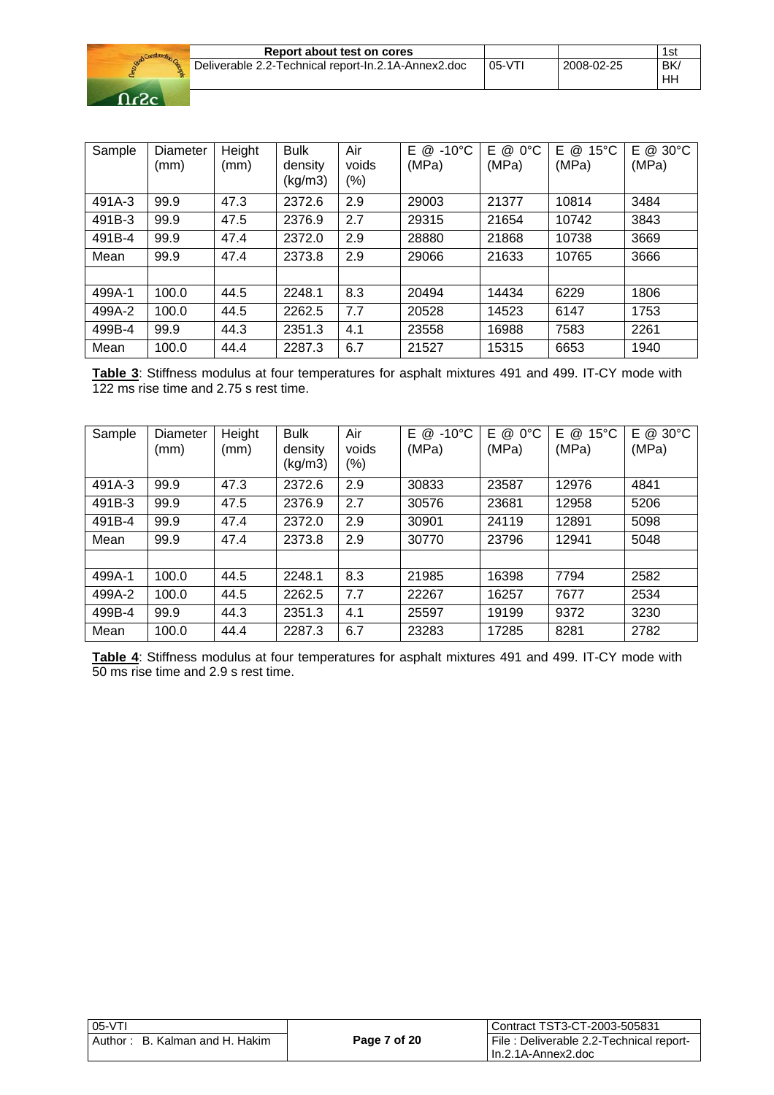| Report about test on cores                          |          |            | 1st       |
|-----------------------------------------------------|----------|------------|-----------|
| Deliverable 2.2-Technical report-In.2.1A-Annex2.doc | $05-VT1$ | 2008-02-25 | BK/<br>HH |



| Sample | Diameter<br>(mm) | Height<br>(mm) | <b>Bulk</b><br>density<br>(kg/m3) | Air<br>voids<br>(%) | E @<br>$-10^{\circ}$ C<br>(MPa) | Е<br>$0^{\circ}$ C<br>@<br>(MPa) | F<br>$15^{\circ}$ C<br>@<br>(MPa) | E @ 30°C<br>(MPa) |
|--------|------------------|----------------|-----------------------------------|---------------------|---------------------------------|----------------------------------|-----------------------------------|-------------------|
| 491A-3 | 99.9             | 47.3           | 2372.6                            | 2.9                 | 29003                           | 21377                            | 10814                             | 3484              |
| 491B-3 | 99.9             | 47.5           | 2376.9                            | 2.7                 | 29315                           | 21654                            | 10742                             | 3843              |
| 491B-4 | 99.9             | 47.4           | 2372.0                            | 2.9                 | 28880                           | 21868                            | 10738                             | 3669              |
| Mean   | 99.9             | 47.4           | 2373.8                            | 2.9                 | 29066                           | 21633                            | 10765                             | 3666              |
|        |                  |                |                                   |                     |                                 |                                  |                                   |                   |
| 499A-1 | 100.0            | 44.5           | 2248.1                            | 8.3                 | 20494                           | 14434                            | 6229                              | 1806              |
| 499A-2 | 100.0            | 44.5           | 2262.5                            | 7.7                 | 20528                           | 14523                            | 6147                              | 1753              |
| 499B-4 | 99.9             | 44.3           | 2351.3                            | 4.1                 | 23558                           | 16988                            | 7583                              | 2261              |
| Mean   | 100.0            | 44.4           | 2287.3                            | 6.7                 | 21527                           | 15315                            | 6653                              | 1940              |

**Table 3**: Stiffness modulus at four temperatures for asphalt mixtures 491 and 499. IT-CY mode with 122 ms rise time and 2.75 s rest time.

| Sample | Diameter<br>(mm) | Height<br>(mm) | <b>Bulk</b><br>density<br>(kg/m3) | Air<br>voids<br>(%) | E.<br>$-10^{\circ}$ C<br>@<br>(MPa) | Е<br>$0^{\circ}$ C<br>@<br>(MPa) | Е<br>$15^{\circ}$ C<br>@<br>(MPa) | E.<br>$30^{\circ}$ C<br>@<br>(MPa) |
|--------|------------------|----------------|-----------------------------------|---------------------|-------------------------------------|----------------------------------|-----------------------------------|------------------------------------|
| 491A-3 | 99.9             | 47.3           | 2372.6                            | 2.9                 | 30833                               | 23587                            | 12976                             | 4841                               |
| 491B-3 | 99.9             | 47.5           | 2376.9                            | 2.7                 | 30576                               | 23681                            | 12958                             | 5206                               |
| 491B-4 | 99.9             | 47.4           | 2372.0                            | 2.9                 | 30901                               | 24119                            | 12891                             | 5098                               |
| Mean   | 99.9             | 47.4           | 2373.8                            | 2.9                 | 30770                               | 23796                            | 12941                             | 5048                               |
|        |                  |                |                                   |                     |                                     |                                  |                                   |                                    |
| 499A-1 | 100.0            | 44.5           | 2248.1                            | 8.3                 | 21985                               | 16398                            | 7794                              | 2582                               |
| 499A-2 | 100.0            | 44.5           | 2262.5                            | 7.7                 | 22267                               | 16257                            | 7677                              | 2534                               |
| 499B-4 | 99.9             | 44.3           | 2351.3                            | 4.1                 | 25597                               | 19199                            | 9372                              | 3230                               |
| Mean   | 100.0            | 44.4           | 2287.3                            | 6.7                 | 23283                               | 17285                            | 8281                              | 2782                               |

**Table 4**: Stiffness modulus at four temperatures for asphalt mixtures 491 and 499. IT-CY mode with 50 ms rise time and 2.9 s rest time.

| l 05-VTI                       |              | Contract TST3-CT-2003-505831            |
|--------------------------------|--------------|-----------------------------------------|
| Author: B. Kalman and H. Hakim | Page 7 of 20 | File: Deliverable 2.2-Technical report- |
|                                |              | l In.2.1A-Annex2.doc                    |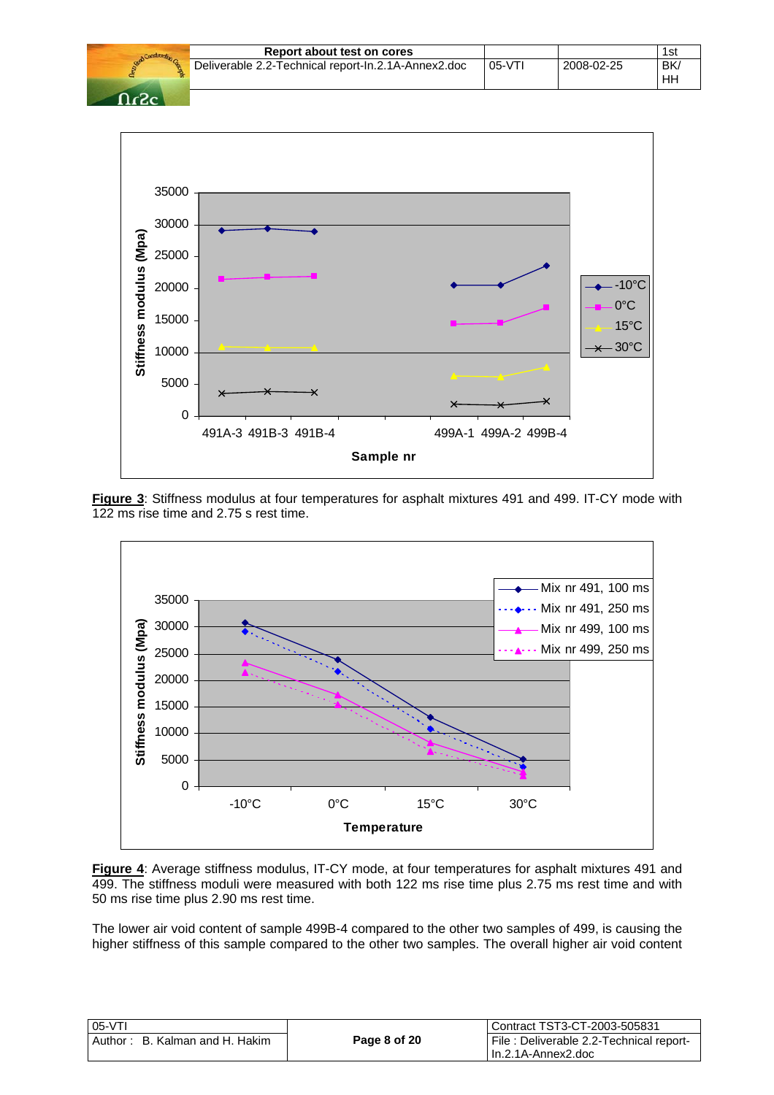|      | Report about test on cores                          |         |            | 1st             |
|------|-----------------------------------------------------|---------|------------|-----------------|
|      | Deliverable 2.2-Technical report-In.2.1A-Annex2.doc | $05-VT$ | 2008-02-25 | <b>BK</b><br>HH |
| -פ-פ |                                                     |         |            |                 |



**Figure 3**: Stiffness modulus at four temperatures for asphalt mixtures 491 and 499. IT-CY mode with 122 ms rise time and 2.75 s rest time.



**Figure 4**: Average stiffness modulus, IT-CY mode, at four temperatures for asphalt mixtures 491 and 499. The stiffness moduli were measured with both 122 ms rise time plus 2.75 ms rest time and with 50 ms rise time plus 2.90 ms rest time.

The lower air void content of sample 499B-4 compared to the other two samples of 499, is causing the higher stiffness of this sample compared to the other two samples. The overall higher air void content

| $05-VT$                        |              | l Contract TST3-CT-2003-505831           |
|--------------------------------|--------------|------------------------------------------|
| Author: B. Kalman and H. Hakim | Page 8 of 20 | File : Deliverable 2.2-Technical report- |
|                                |              | l In.2.1A-Annex2.doc                     |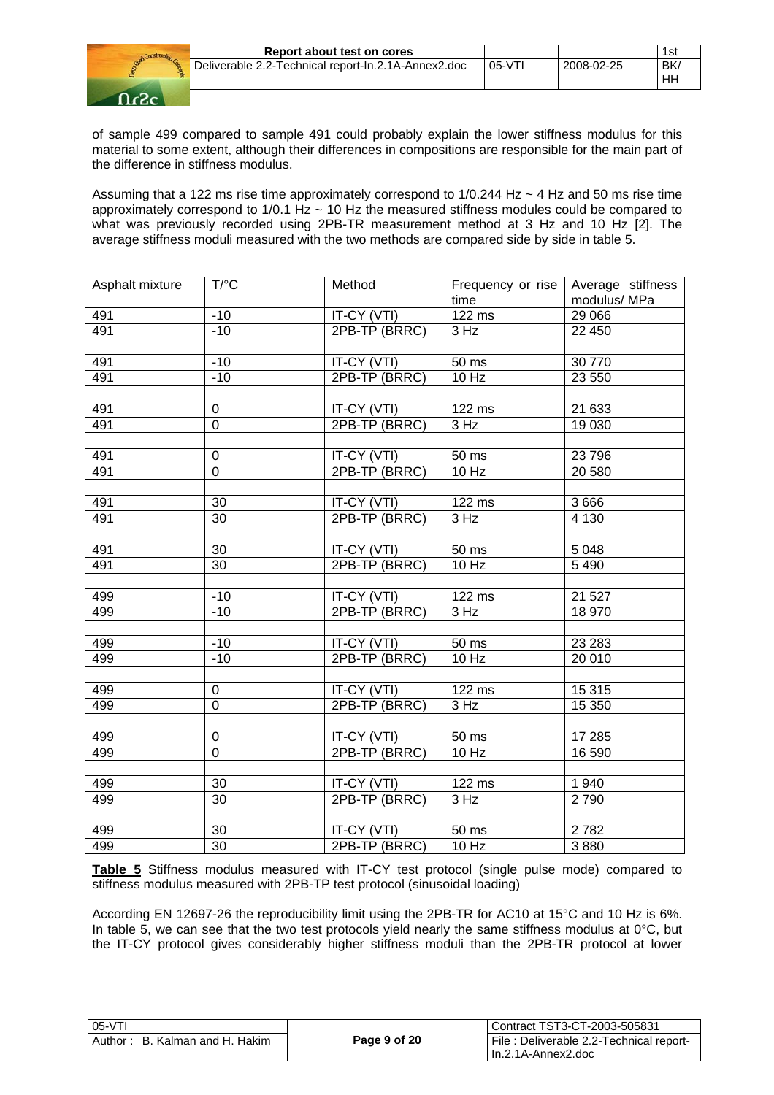|         | 1st             |
|---------|-----------------|
| $05-VT$ | <b>BK</b><br>HН |
|         | 2008-02-25      |



of sample 499 compared to sample 491 could probably explain the lower stiffness modulus for this material to some extent, although their differences in compositions are responsible for the main part of the difference in stiffness modulus.

Assuming that a 122 ms rise time approximately correspond to  $1/0.244$  Hz  $\sim$  4 Hz and 50 ms rise time approximately correspond to 1/0.1 Hz ~ 10 Hz the measured stiffness modules could be compared to what was previously recorded using 2PB-TR measurement method at 3 Hz and 10 Hz [2]. The average stiffness moduli measured with the two methods are compared side by side in table 5.

| Asphalt mixture | $T$ <sup>o</sup> $C$ | Method                       | Frequency or rise<br>time | Average stiffness<br>modulus/MPa |
|-----------------|----------------------|------------------------------|---------------------------|----------------------------------|
| 491             | $-10$                | IT-CY (VTI)                  | 122 ms                    | 29 0 66                          |
| 491             | $-10$                | 2PB-TP (BRRC)                | 3 Hz                      | 22 450                           |
|                 |                      |                              |                           |                                  |
| 491             | $-10$                | IT-CY (VTI)                  | 50 ms                     | 30 770                           |
| 491             | $-10$                | 2PB-TP (BRRC)                | 10 Hz                     | 23 550                           |
|                 |                      |                              |                           |                                  |
| 491             | 0                    | IT-CY (VTI)                  | 122 ms                    | 21 633                           |
| 491             | $\mathbf 0$          | 2PB-TP (BRRC)                | 3 Hz                      | 19 030                           |
|                 |                      |                              |                           |                                  |
| 491             | $\pmb{0}$            | IT-CY (VTI)                  | $50$ ms                   | 23 796                           |
| 491             | $\mathbf 0$          | 2PB-TP (BRRC)                | 10 Hz                     | 20 580                           |
|                 |                      |                              |                           |                                  |
| 491             | 30                   | IT-CY (VTI)                  | 122 ms                    | 3666                             |
| 491             | 30                   | 2PB-TP (BRRC)                | 3 Hz                      | 4 1 3 0                          |
|                 |                      |                              |                           |                                  |
| 491             | $30\,$               | IT-CY (VTI)<br>2PB-TP (BRRC) | 50 ms                     | 5 0 4 8                          |
| 491             | 30                   |                              | 10 Hz                     | 5 4 9 0                          |
| 499             | $-10$                | IT-CY (VTI)                  | 122 ms                    | 21 5 27                          |
| 499             | $-10$                | 2PB-TP (BRRC)                | 3 Hz                      | 18 970                           |
|                 |                      |                              |                           |                                  |
| 499             | $-10$                | IT-CY (VTI)                  | 50 ms                     | 23 2 83                          |
| 499             | $-10$                | 2PB-TP (BRRC)                | 10 Hz                     | 20 010                           |
|                 |                      |                              |                           |                                  |
| 499             | 0                    | IT-CY (VTI)                  | 122 ms                    | 15 315                           |
| 499             | $\mathbf 0$          | 2PB-TP (BRRC)                | 3 Hz                      | 15 350                           |
|                 |                      |                              |                           |                                  |
| 499             | $\pmb{0}$            | IT-CY (VTI)                  | 50 ms                     | 17 285                           |
| 499             | $\mathbf 0$          | 2PB-TP (BRRC)                | 10 Hz                     | 16 590                           |
|                 |                      |                              |                           |                                  |
| 499             | 30                   | IT-CY (VTI)                  | 122 ms                    | 1940                             |
| 499             | 30                   | 2PB-TP (BRRC)                | 3 Hz                      | 2790                             |
|                 |                      |                              |                           |                                  |
| 499             | 30                   | IT-CY (VTI)                  | 50 ms                     | 2782                             |
| 499             | $\overline{30}$      | 2PB-TP (BRRC)                | 10 Hz                     | 3880                             |

**Table 5** Stiffness modulus measured with IT-CY test protocol (single pulse mode) compared to stiffness modulus measured with 2PB-TP test protocol (sinusoidal loading)

According EN 12697-26 the reproducibility limit using the 2PB-TR for AC10 at 15°C and 10 Hz is 6%. In table 5, we can see that the two test protocols yield nearly the same stiffness modulus at  $0^{\circ}$ C, but the IT-CY protocol gives considerably higher stiffness moduli than the 2PB-TR protocol at lower

| 105-VTI                        |              | Contract TST3-CT-2003-505831            |
|--------------------------------|--------------|-----------------------------------------|
| Author: B. Kalman and H. Hakim | Page 9 of 20 | File: Deliverable 2.2-Technical report- |
|                                |              | I In.2.1A-Annex2.doc                    |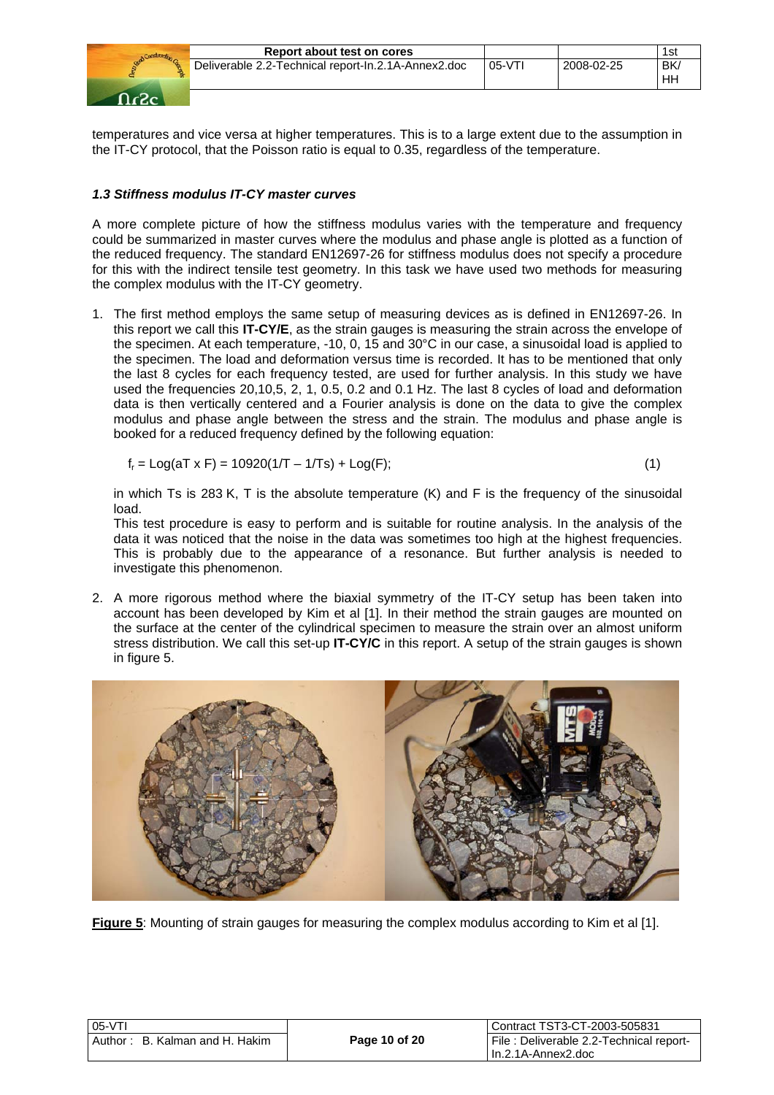

temperatures and vice versa at higher temperatures. This is to a large extent due to the assumption in the IT-CY protocol, that the Poisson ratio is equal to 0.35, regardless of the temperature.

# *1.3 Stiffness modulus IT-CY master curves*

A more complete picture of how the stiffness modulus varies with the temperature and frequency could be summarized in master curves where the modulus and phase angle is plotted as a function of the reduced frequency. The standard EN12697-26 for stiffness modulus does not specify a procedure for this with the indirect tensile test geometry. In this task we have used two methods for measuring the complex modulus with the IT-CY geometry.

1. The first method employs the same setup of measuring devices as is defined in EN12697-26. In this report we call this **IT-CY/E**, as the strain gauges is measuring the strain across the envelope of the specimen. At each temperature, -10, 0, 15 and 30°C in our case, a sinusoidal load is applied to the specimen. The load and deformation versus time is recorded. It has to be mentioned that only the last 8 cycles for each frequency tested, are used for further analysis. In this study we have used the frequencies 20,10,5, 2, 1, 0.5, 0.2 and 0.1 Hz. The last 8 cycles of load and deformation data is then vertically centered and a Fourier analysis is done on the data to give the complex modulus and phase angle between the stress and the strain. The modulus and phase angle is booked for a reduced frequency defined by the following equation:

$$
f_r = Log(aT \times F) = 10920(1/T - 1/Ts) + Log(F);
$$
\n(1)

in which Ts is 283 K, T is the absolute temperature (K) and F is the frequency of the sinusoidal load.

This test procedure is easy to perform and is suitable for routine analysis. In the analysis of the data it was noticed that the noise in the data was sometimes too high at the highest frequencies. This is probably due to the appearance of a resonance. But further analysis is needed to investigate this phenomenon.

2. A more rigorous method where the biaxial symmetry of the IT-CY setup has been taken into account has been developed by Kim et al [1]. In their method the strain gauges are mounted on the surface at the center of the cylindrical specimen to measure the strain over an almost uniform stress distribution. We call this set-up **IT-CY/C** in this report. A setup of the strain gauges is shown in figure 5.



**Figure 5**: Mounting of strain gauges for measuring the complex modulus according to Kim et al [1].

| <b>U5-VII</b> |                                |  |
|---------------|--------------------------------|--|
|               | Author: B. Kalman and H. Hakim |  |

 $0.5<sub>1</sub>$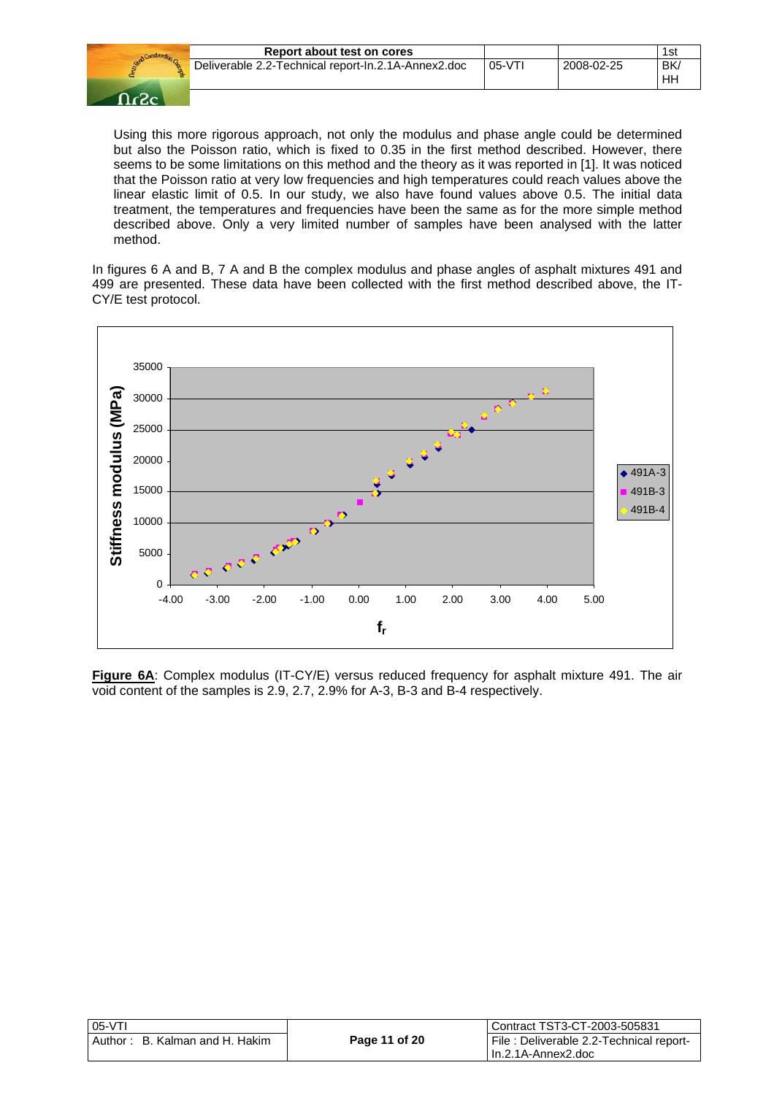| Construction |    |
|--------------|----|
| <b>Destr</b> | De |
|              |    |
|              |    |

| Report about test on cores |          |                                                     | 1st       |
|----------------------------|----------|-----------------------------------------------------|-----------|
|                            | $05-VT1$ | 2008-02-25                                          | BK/<br>HН |
|                            |          | Deliverable 2.2-Technical report-In.2.1A-Annex2.doc |           |

Using this more rigorous approach, not only the modulus and phase angle could be determined but also the Poisson ratio, which is fixed to 0.35 in the first method described. However, there seems to be some limitations on this method and the theory as it was reported in [1]. It was noticed that the Poisson ratio at very low frequencies and high temperatures could reach values above the linear elastic limit of 0.5. In our study, we also have found values above 0.5. The initial data treatment, the temperatures and frequencies have been the same as for the more simple method described above. Only a very limited number of samples have been analysed with the latter method.

In figures 6 A and B, 7 A and B the complex modulus and phase angles of asphalt mixtures 491 and 499 are presented. These data have been collected with the first method described above, the IT-CY/E test protocol.



**Figure 6A**: Complex modulus (IT-CY/E) versus reduced frequency for asphalt mixture 491. The air void content of the samples is 2.9, 2.7, 2.9% for A-3, B-3 and B-4 respectively.

| 05-VTI                         |               | Contract TST3-CT-2003-505831            |
|--------------------------------|---------------|-----------------------------------------|
| Author: B. Kalman and H. Hakim | Page 11 of 20 | File: Deliverable 2.2-Technical report- |
|                                |               | I In.2.1A-Annex2.doc                    |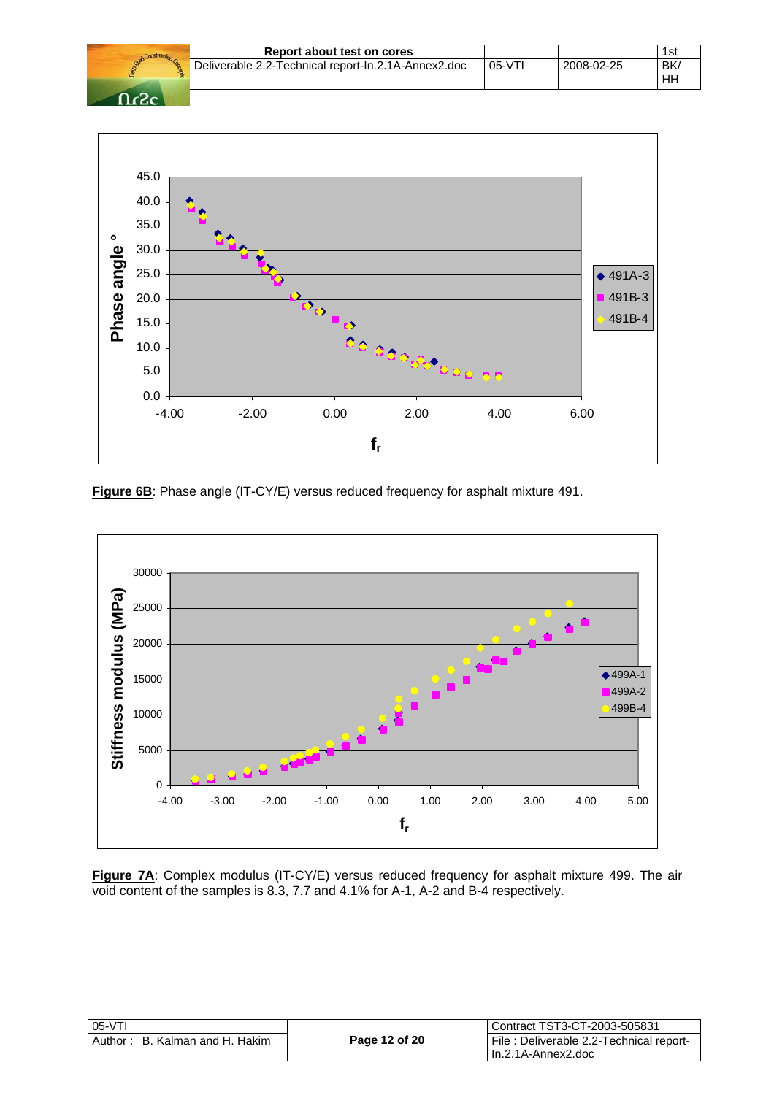|        | Report about test on cores                          |          |            | 1st             |
|--------|-----------------------------------------------------|----------|------------|-----------------|
|        | Deliverable 2.2-Technical report-In.2.1A-Annex2.doc | $05-VT1$ | 2008-02-25 | <b>BK</b><br>HН |
| - ר- ה |                                                     |          |            |                 |



**Figure 6B:** Phase angle (IT-CY/E) versus reduced frequency for asphalt mixture 491.



**Figure 7A**: Complex modulus (IT-CY/E) versus reduced frequency for asphalt mixture 499. The air void content of the samples is 8.3, 7.7 and 4.1% for A-1, A-2 and B-4 respectively.

| 05-VTI                         |               | Contract TST3-CT-2003-505831            |
|--------------------------------|---------------|-----------------------------------------|
| Author: B. Kalman and H. Hakim | Page 12 of 20 | File: Deliverable 2.2-Technical report- |
|                                |               | I In.2.1A-Annex2.doc                    |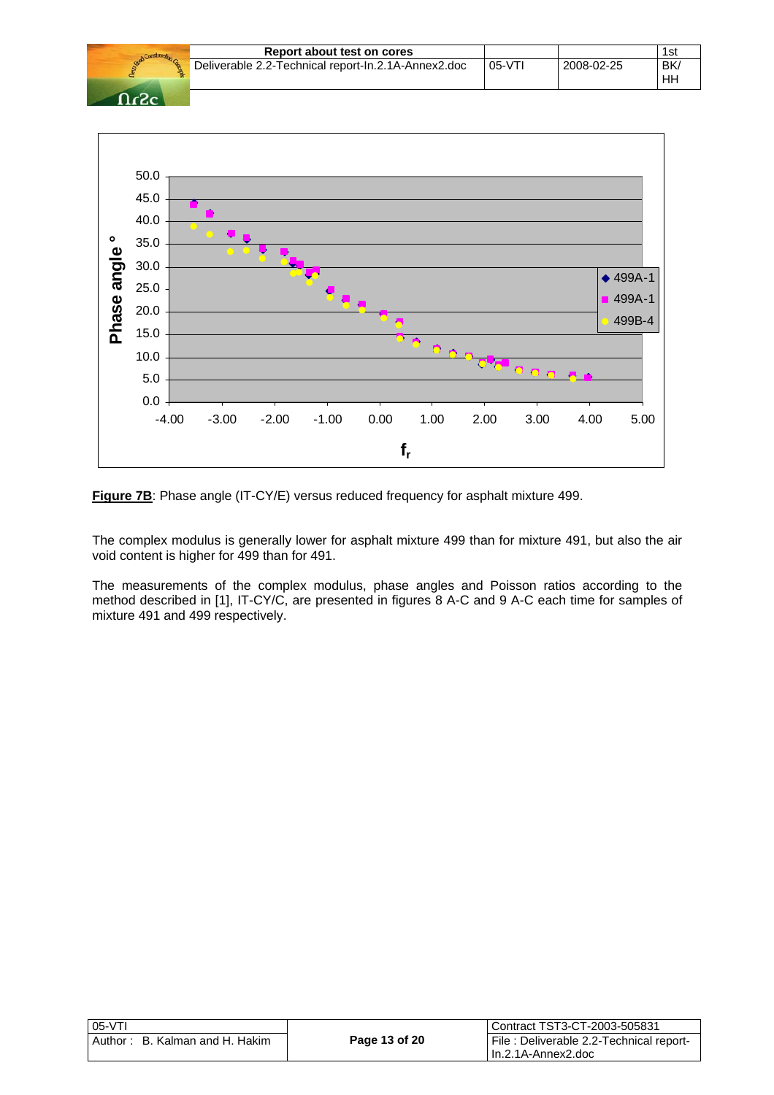|        | Report about test on cores                          |          |            | 1st             |
|--------|-----------------------------------------------------|----------|------------|-----------------|
|        | Deliverable 2.2-Technical report-In.2.1A-Annex2.doc | $05-VT1$ | 2008-02-25 | <b>BK</b><br>HН |
| - ר- ה |                                                     |          |            |                 |



**Figure 7B**: Phase angle (IT-CY/E) versus reduced frequency for asphalt mixture 499.

The complex modulus is generally lower for asphalt mixture 499 than for mixture 491, but also the air void content is higher for 499 than for 491.

The measurements of the complex modulus, phase angles and Poisson ratios according to the method described in [1], IT-CY/C, are presented in figures 8 A-C and 9 A-C each time for samples of mixture 491 and 499 respectively.

| $05-VT$                            |               | Contract TST3-CT-2003-505831                                     |
|------------------------------------|---------------|------------------------------------------------------------------|
| B. Kalman and H. Hakim<br>Author : | Page 13 of 20 | File : Deliverable 2.2-Technical report-<br>l In.2.1A-Annex2.doc |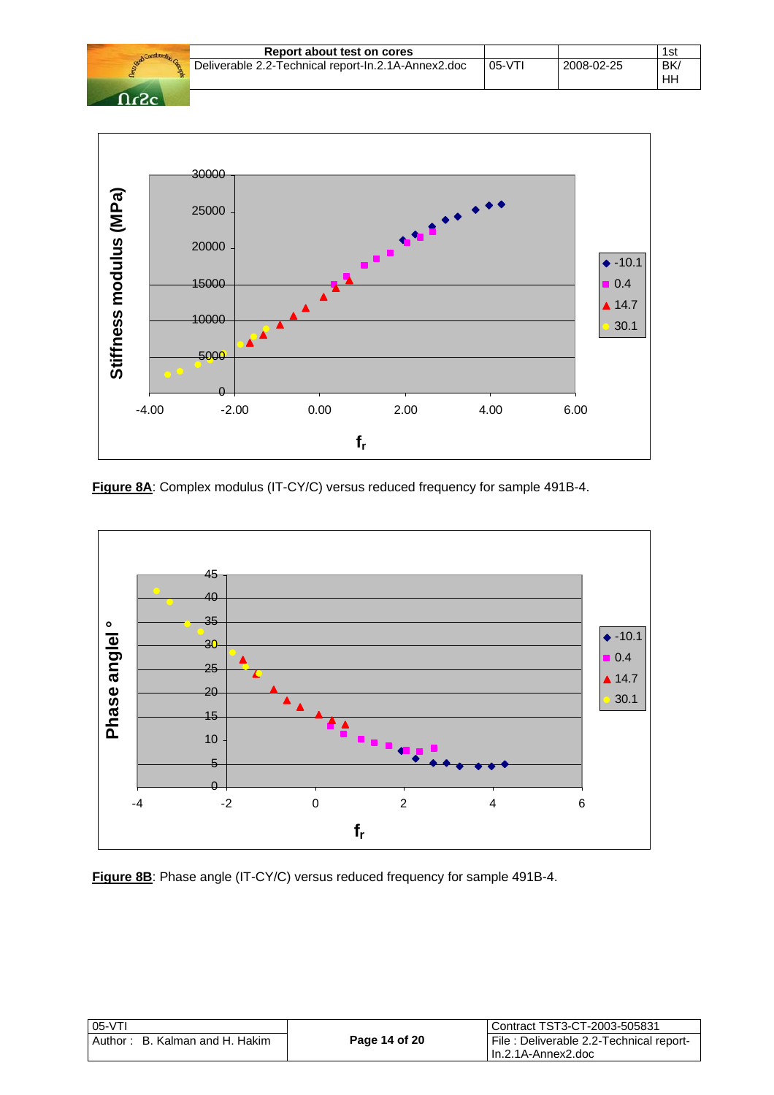|        | Report about test on cores                          |         |            | 1st             |
|--------|-----------------------------------------------------|---------|------------|-----------------|
|        | Deliverable 2.2-Technical report-In.2.1A-Annex2.doc | $05-VT$ | 2008-02-25 | <b>BK</b><br>HН |
| - ר- ו |                                                     |         |            |                 |



**Figure 8A**: Complex modulus (IT-CY/C) versus reduced frequency for sample 491B-4.



**Figure 8B**: Phase angle (IT-CY/C) versus reduced frequency for sample 491B-4.

| 05-VTI                         |               | Contract TST3-CT-2003-505831            |
|--------------------------------|---------------|-----------------------------------------|
| Author: B. Kalman and H. Hakim | Page 14 of 20 | File: Deliverable 2.2-Technical report- |
|                                |               | In.2.1A-Annex2.doc                      |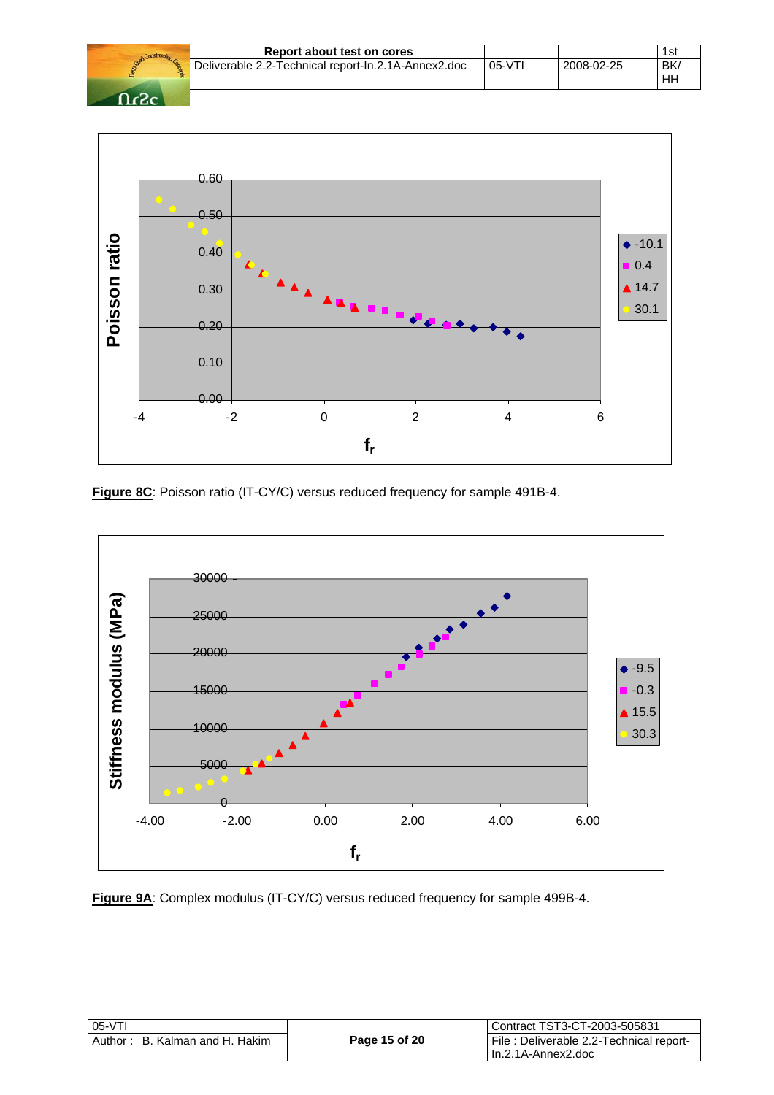|                   | Report about test on cores                          |          |            | 1st             |
|-------------------|-----------------------------------------------------|----------|------------|-----------------|
|                   | Deliverable 2.2-Technical report-In.2.1A-Annex2.doc | $05-VT1$ | 2008-02-25 | <b>BK</b><br>HH |
| $\Omega_{\alpha}$ |                                                     |          |            |                 |



**Figure 8C**: Poisson ratio (IT-CY/C) versus reduced frequency for sample 491B-4.



**Figure 9A**: Complex modulus (IT-CY/C) versus reduced frequency for sample 499B-4.

| $05-VT$                        |               | l Contract TST3-CT-2003-505831          |
|--------------------------------|---------------|-----------------------------------------|
| Author: B. Kalman and H. Hakim | Page 15 of 20 | File: Deliverable 2.2-Technical report- |
|                                |               | l In.2.1A-Annex2.doc                    |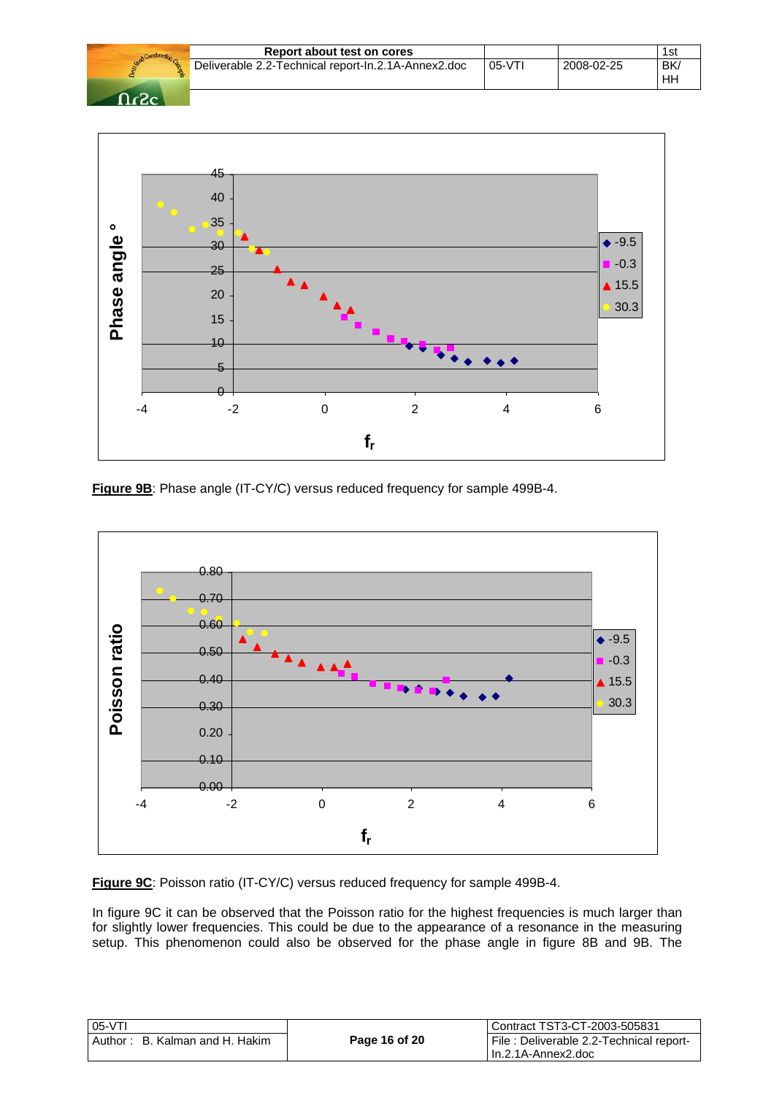|                   | Report about test on cores                          |          |            | 1st             |
|-------------------|-----------------------------------------------------|----------|------------|-----------------|
|                   | Deliverable 2.2-Technical report-In.2.1A-Annex2.doc | $05-VTI$ | 2008-02-25 | <b>BK</b><br>HH |
| $\Omega_{\alpha}$ |                                                     |          |            |                 |



**Figure 9B**: Phase angle (IT-CY/C) versus reduced frequency for sample 499B-4.



**Figure 9C**: Poisson ratio (IT-CY/C) versus reduced frequency for sample 499B-4.

In figure 9C it can be observed that the Poisson ratio for the highest frequencies is much larger than for slightly lower frequencies. This could be due to the appearance of a resonance in the measuring setup. This phenomenon could also be observed for the phase angle in figure 8B and 9B. The

| l 05-VTI                       |               | l Contract TST3-CT-2003-505831          |
|--------------------------------|---------------|-----------------------------------------|
| Author: B. Kalman and H. Hakim | Page 16 of 20 | File: Deliverable 2.2-Technical report- |
|                                |               | l In.2.1A-Annex2.doc                    |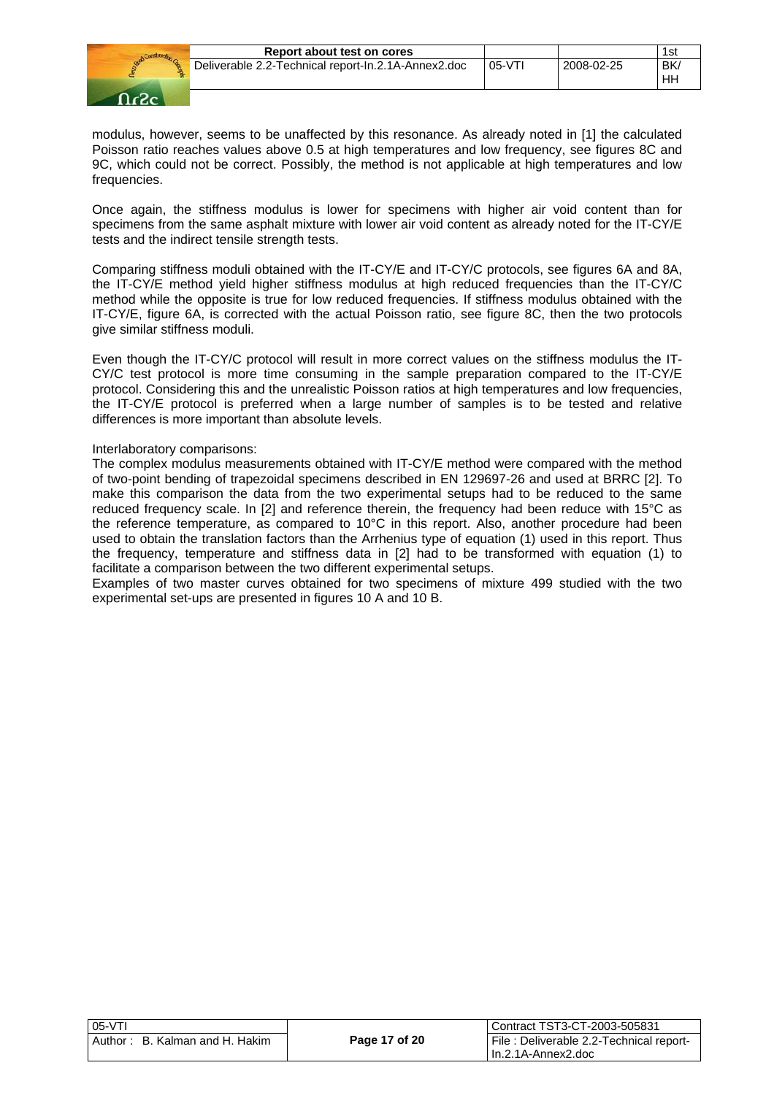

modulus, however, seems to be unaffected by this resonance. As already noted in [1] the calculated Poisson ratio reaches values above 0.5 at high temperatures and low frequency, see figures 8C and 9C, which could not be correct. Possibly, the method is not applicable at high temperatures and low frequencies.

Once again, the stiffness modulus is lower for specimens with higher air void content than for specimens from the same asphalt mixture with lower air void content as already noted for the IT-CY/E tests and the indirect tensile strength tests.

Comparing stiffness moduli obtained with the IT-CY/E and IT-CY/C protocols, see figures 6A and 8A, the IT-CY/E method yield higher stiffness modulus at high reduced frequencies than the IT-CY/C method while the opposite is true for low reduced frequencies. If stiffness modulus obtained with the IT-CY/E, figure 6A, is corrected with the actual Poisson ratio, see figure 8C, then the two protocols give similar stiffness moduli.

Even though the IT-CY/C protocol will result in more correct values on the stiffness modulus the IT-CY/C test protocol is more time consuming in the sample preparation compared to the IT-CY/E protocol. Considering this and the unrealistic Poisson ratios at high temperatures and low frequencies, the IT-CY/E protocol is preferred when a large number of samples is to be tested and relative differences is more important than absolute levels.

#### Interlaboratory comparisons:

The complex modulus measurements obtained with IT-CY/E method were compared with the method of two-point bending of trapezoidal specimens described in EN 129697-26 and used at BRRC [2]. To make this comparison the data from the two experimental setups had to be reduced to the same reduced frequency scale. In [2] and reference therein, the frequency had been reduce with 15°C as the reference temperature, as compared to 10°C in this report. Also, another procedure had been used to obtain the translation factors than the Arrhenius type of equation (1) used in this report. Thus the frequency, temperature and stiffness data in [2] had to be transformed with equation (1) to facilitate a comparison between the two different experimental setups.

Examples of two master curves obtained for two specimens of mixture 499 studied with the two experimental set-ups are presented in figures 10 A and 10 B.

| $05-VT$                        |               | Contract TST3-CT-2003-505831             |
|--------------------------------|---------------|------------------------------------------|
| Author: B. Kalman and H. Hakim | Page 17 of 20 | File : Deliverable 2.2-Technical report- |
|                                |               | l In.2.1A-Annex2.doc                     |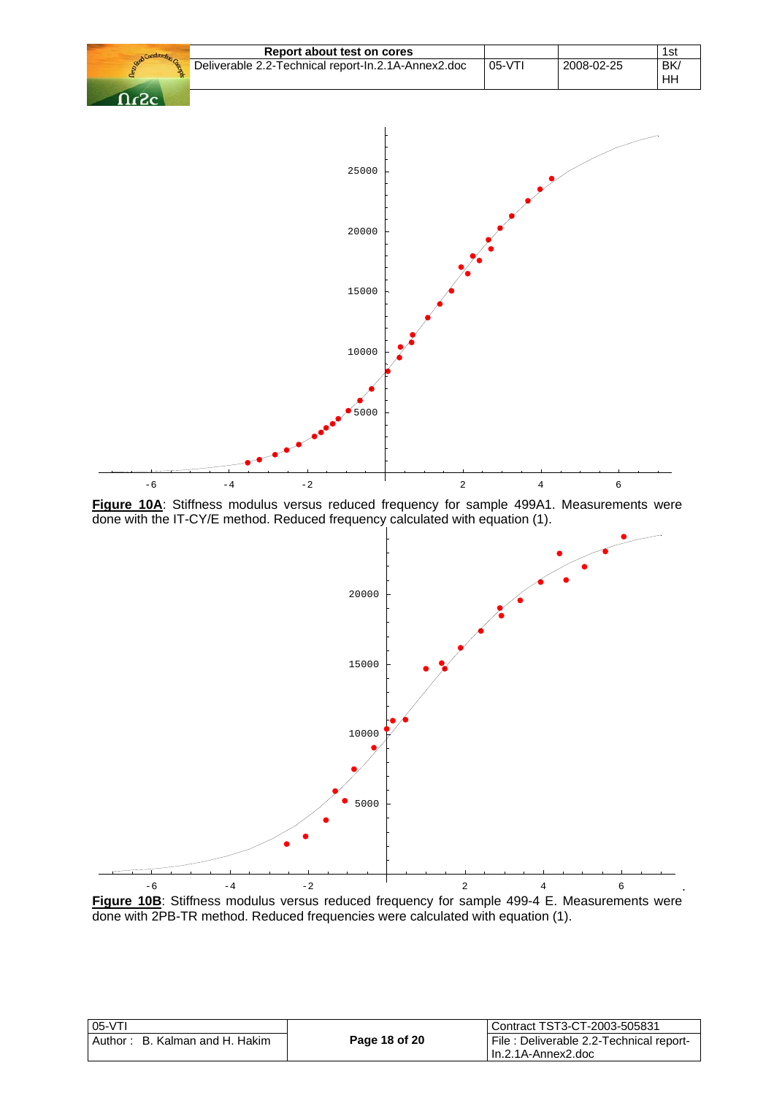



| 05-VTI                         |               | l Contract TST3-CT-2003-505831          |
|--------------------------------|---------------|-----------------------------------------|
| Author: B. Kalman and H. Hakim | Page 18 of 20 | File: Deliverable 2.2-Technical report- |
|                                |               | l In.2.1A-Annex2.doc                    |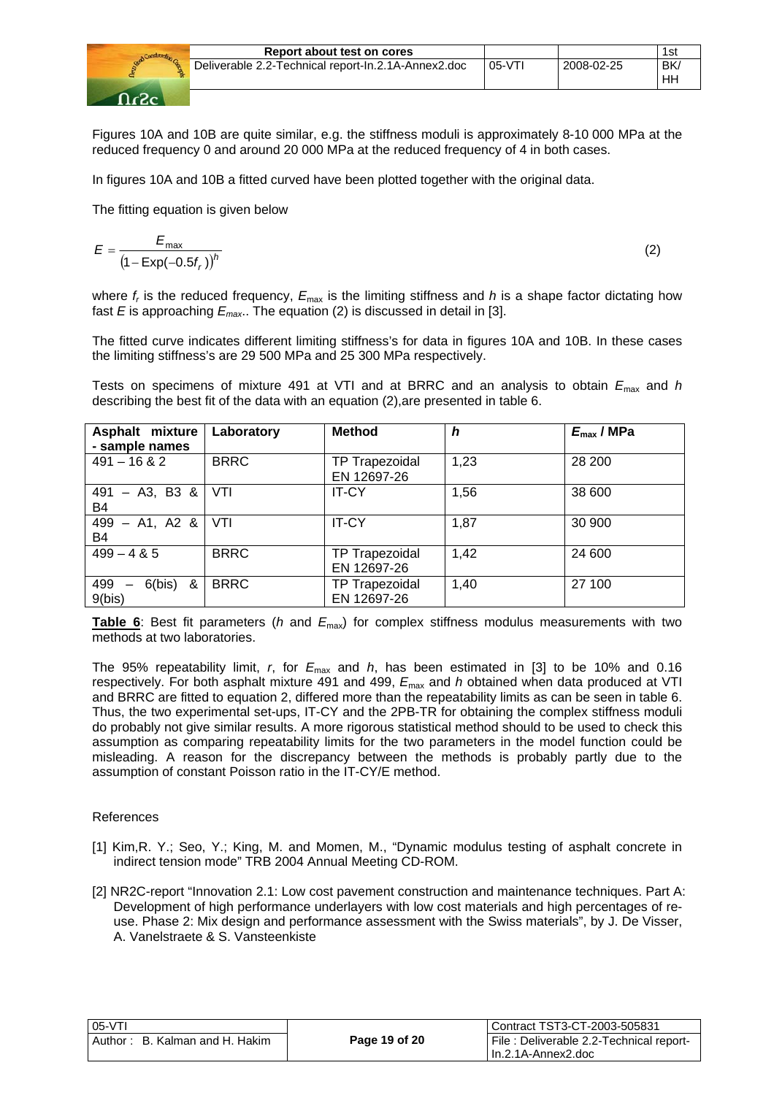

| Report about test on cores                          |         |            | 1si       |
|-----------------------------------------------------|---------|------------|-----------|
| Deliverable 2.2-Technical report-In.2.1A-Annex2.doc | $05-VT$ | 2008-02-25 | BK.<br>HF |

Figures 10A and 10B are quite similar, e.g. the stiffness moduli is approximately 8-10 000 MPa at the reduced frequency 0 and around 20 000 MPa at the reduced frequency of 4 in both cases.

In figures 10A and 10B a fitted curved have been plotted together with the original data.

The fitting equation is given below

$$
E = \frac{E_{\text{max}}}{\left(1 - \text{Exp}(-0.5f_r)\right)^h} \tag{2}
$$

where  $f_r$  is the reduced frequency,  $E_{\text{max}}$  is the limiting stiffness and *h* is a shape factor dictating how fast *E* is approaching *Emax*.. The equation (2) is discussed in detail in [3].

The fitted curve indicates different limiting stiffness's for data in figures 10A and 10B. In these cases the limiting stiffness's are 29 500 MPa and 25 300 MPa respectively.

Tests on specimens of mixture 491 at VTI and at BRRC and an analysis to obtain *E*max and *h* describing the best fit of the data with an equation (2),are presented in table 6.

| Asphalt mixture<br>- sample names     | Laboratory  | <b>Method</b>                        | h    | $E_{\text{max}}$ / MPa |
|---------------------------------------|-------------|--------------------------------------|------|------------------------|
| $491 - 1682$                          | <b>BRRC</b> | <b>TP Trapezoidal</b><br>EN 12697-26 | 1,23 | 28 200                 |
| $-$ A3, B3 &<br>491<br>B <sub>4</sub> | VTI         | <b>IT-CY</b>                         | 1,56 | 38 600                 |
| $-$ A1, A2 &<br>499<br>B4             | VTI         | <b>IT-CY</b>                         | 1,87 | 30 900                 |
| $499 - 485$                           | <b>BRRC</b> | <b>TP Trapezoidal</b><br>EN 12697-26 | 1,42 | 24 600                 |
| 6(bis)<br>499<br>&<br>—<br>9(bis)     | <b>BRRC</b> | <b>TP Trapezoidal</b><br>EN 12697-26 | 1,40 | 27 100                 |

**Table 6**: Best fit parameters (*h* and  $E_{\text{max}}$ ) for complex stiffness modulus measurements with two methods at two laboratories.

The 95% repeatability limit, *r*, for *E*max and *h*, has been estimated in [3] to be 10% and 0.16 respectively. For both asphalt mixture 491 and 499,  $E_{\text{max}}$  and *h* obtained when data produced at VTI and BRRC are fitted to equation 2, differed more than the repeatability limits as can be seen in table 6. Thus, the two experimental set-ups, IT-CY and the 2PB-TR for obtaining the complex stiffness moduli do probably not give similar results. A more rigorous statistical method should to be used to check this assumption as comparing repeatability limits for the two parameters in the model function could be misleading. A reason for the discrepancy between the methods is probably partly due to the assumption of constant Poisson ratio in the IT-CY/E method.

# References

- [1] Kim,R. Y.; Seo, Y.; King, M. and Momen, M., "Dynamic modulus testing of asphalt concrete in indirect tension mode" TRB 2004 Annual Meeting CD-ROM.
- [2] NR2C-report "Innovation 2.1: Low cost pavement construction and maintenance techniques. Part A: Development of high performance underlayers with low cost materials and high percentages of reuse. Phase 2: Mix design and performance assessment with the Swiss materials", by J. De Visser, A. Vanelstraete & S. Vansteenkiste

| $05-VT$                        |               | Contract TST3-CT-2003-505831            |
|--------------------------------|---------------|-----------------------------------------|
| Author: B. Kalman and H. Hakim | Page 19 of 20 | File: Deliverable 2.2-Technical report- |
|                                |               | lln.2.1A-Annex2.doc                     |